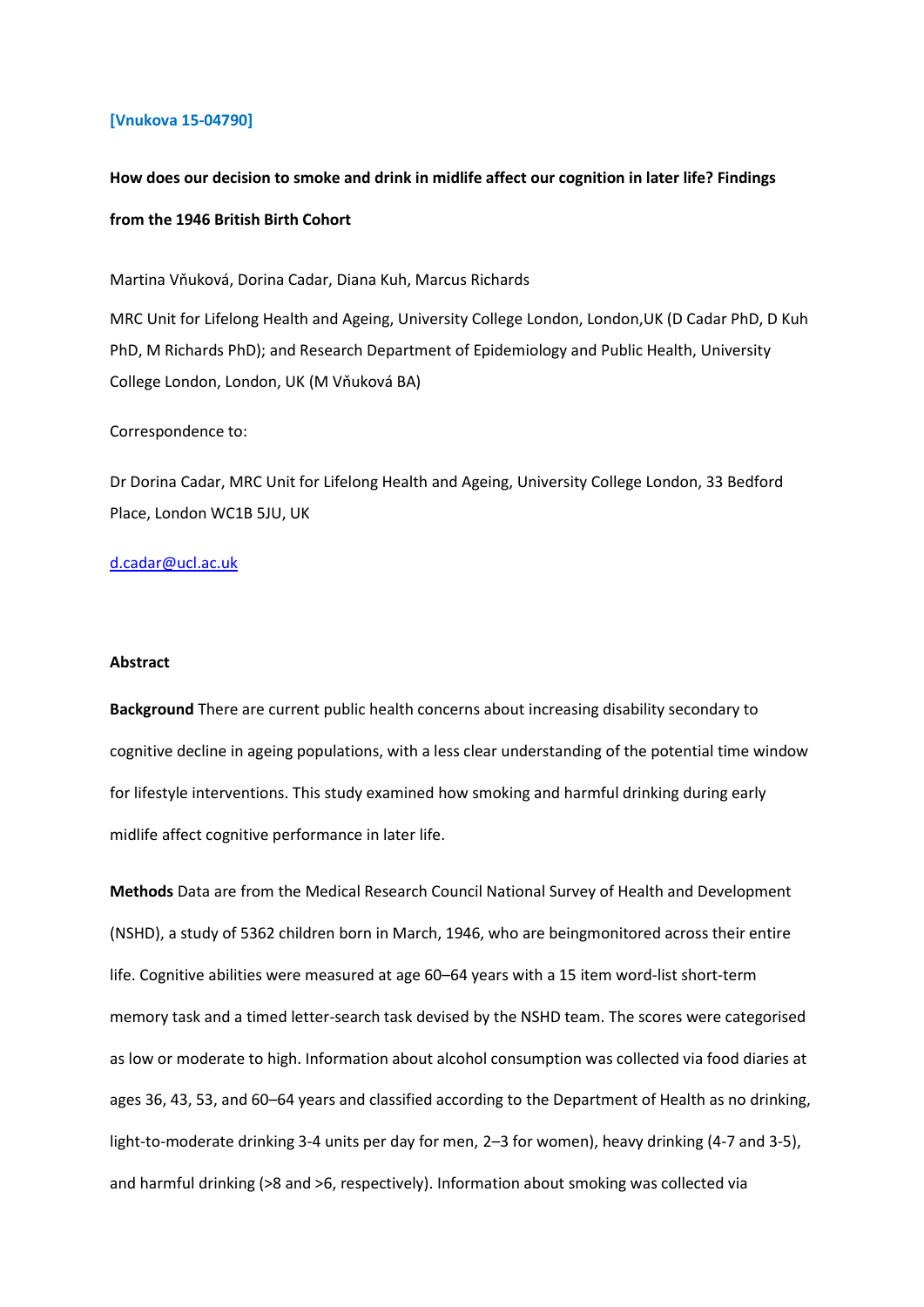#### **[Vnukova 15-04790]**

# **How does our decision to smoke and drink in midlife affect our cognition in later life? Findings from the 1946 British Birth Cohort**

Martina Vňuková, Dorina Cadar, Diana Kuh, Marcus Richards

MRC Unit for Lifelong Health and Ageing, University College London, London,UK (D Cadar PhD, D Kuh PhD, M Richards PhD); and Research Department of Epidemiology and Public Health, University College London, London, UK (M Vňuková BA)

### Correspondence to:

Dr Dorina Cadar, MRC Unit for Lifelong Health and Ageing, University College London, 33 Bedford Place, London WC1B 5JU, UK

## [d.cadar@ucl.ac.uk](mailto:d.cadar@ucl.ac.uk)

#### **Abstract**

**Background** There are current public health concerns about increasing disability secondary to cognitive decline in ageing populations, with a less clear understanding of the potential time window for lifestyle interventions. This study examined how smoking and harmful drinking during early midlife affect cognitive performance in later life.

**Methods** Data are from the Medical Research Council National Survey of Health and Development (NSHD), a study of 5362 children born in March, 1946, who are beingmonitored across their entire life. Cognitive abilities were measured at age 60–64 years with a 15 item word-list short-term memory task and a timed letter-search task devised by the NSHD team. The scores were categorised as low or moderate to high. Information about alcohol consumption was collected via food diaries at ages 36, 43, 53, and 60–64 years and classified according to the Department of Health as no drinking, light-to-moderate drinking 3-4 units per day for men, 2–3 for women), heavy drinking (4-7 and 3-5), and harmful drinking (>8 and >6, respectively). Information about smoking was collected via